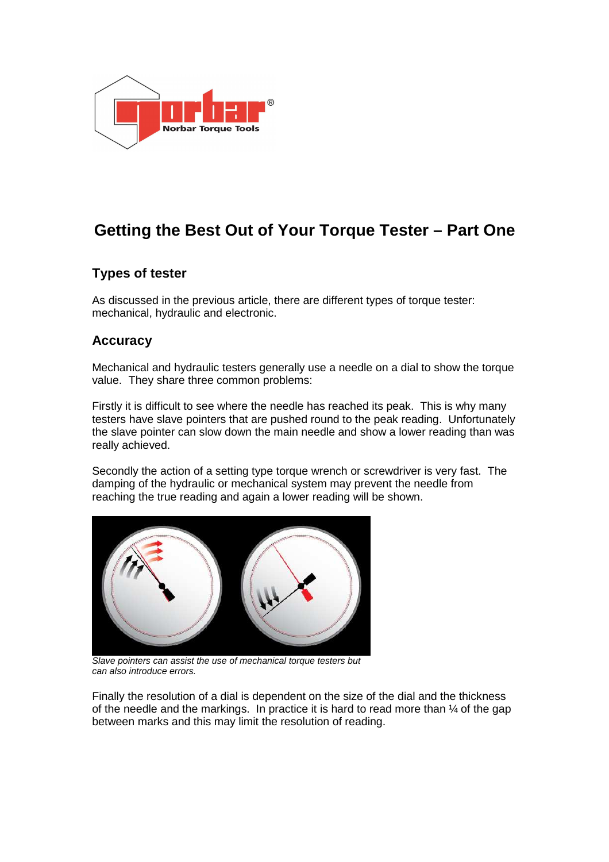

# **Getting the Best Out of Your Torque Tester – Part One**

## **Types of tester**

As discussed in the previous article, there are different types of torque tester: mechanical, hydraulic and electronic.

### **Accuracy**

Mechanical and hydraulic testers generally use a needle on a dial to show the torque value. They share three common problems:

Firstly it is difficult to see where the needle has reached its peak. This is why many testers have slave pointers that are pushed round to the peak reading. Unfortunately the slave pointer can slow down the main needle and show a lower reading than was really achieved.

Secondly the action of a setting type torque wrench or screwdriver is very fast. The damping of the hydraulic or mechanical system may prevent the needle from reaching the true reading and again a lower reading will be shown.



Slave pointers can assist the use of mechanical torque testers but can also introduce errors.

Finally the resolution of a dial is dependent on the size of the dial and the thickness of the needle and the markings. In practice it is hard to read more than ¼ of the gap between marks and this may limit the resolution of reading.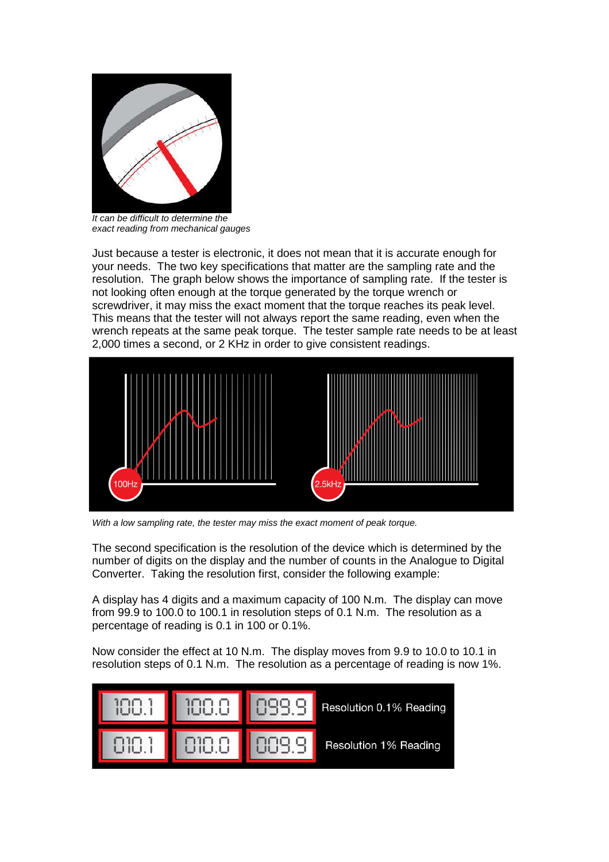

It can be difficult to determine the exact reading from mechanical gauges

Just because a tester is electronic, it does not mean that it is accurate enough for your needs. The two key specifications that matter are the sampling rate and the resolution. The graph below shows the importance of sampling rate. If the tester is not looking often enough at the torque generated by the torque wrench or screwdriver, it may miss the exact moment that the torque reaches its peak level. This means that the tester will not always report the same reading, even when the wrench repeats at the same peak torque. The tester sample rate needs to be at least 2,000 times a second, or 2 KHz in order to give consistent readings.



With a low sampling rate, the tester may miss the exact moment of peak torque.

The second specification is the resolution of the device which is determined by the number of digits on the display and the number of counts in the Analogue to Digital Converter. Taking the resolution first, consider the following example:

A display has 4 digits and a maximum capacity of 100 N.m. The display can move from 99.9 to 100.0 to 100.1 in resolution steps of 0.1 N.m. The resolution as a percentage of reading is 0.1 in 100 or 0.1%.

Now consider the effect at 10 N.m. The display moves from 9.9 to 10.0 to 10.1 in resolution steps of 0.1 N.m. The resolution as a percentage of reading is now 1%.

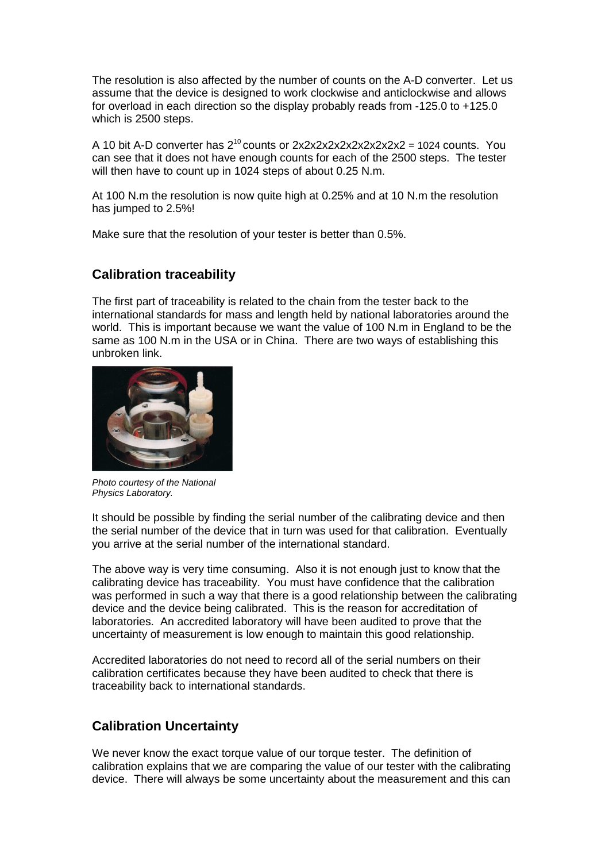The resolution is also affected by the number of counts on the A-D converter. Let us assume that the device is designed to work clockwise and anticlockwise and allows for overload in each direction so the display probably reads from -125.0 to +125.0 which is 2500 steps.

A 10 bit A-D converter has  $2^{10}$  counts or  $2x2x2x2x2x2x2x2x2x2 = 1024$  counts. You can see that it does not have enough counts for each of the 2500 steps. The tester will then have to count up in 1024 steps of about 0.25 N.m.

At 100 N.m the resolution is now quite high at 0.25% and at 10 N.m the resolution has jumped to 2.5%!

Make sure that the resolution of your tester is better than 0.5%.

#### **Calibration traceability**

The first part of traceability is related to the chain from the tester back to the international standards for mass and length held by national laboratories around the world. This is important because we want the value of 100 N.m in England to be the same as 100 N.m in the USA or in China. There are two ways of establishing this unbroken link.



Photo courtesy of the National Physics Laboratory.

It should be possible by finding the serial number of the calibrating device and then the serial number of the device that in turn was used for that calibration. Eventually you arrive at the serial number of the international standard.

The above way is very time consuming. Also it is not enough just to know that the calibrating device has traceability. You must have confidence that the calibration was performed in such a way that there is a good relationship between the calibrating device and the device being calibrated. This is the reason for accreditation of laboratories. An accredited laboratory will have been audited to prove that the uncertainty of measurement is low enough to maintain this good relationship.

Accredited laboratories do not need to record all of the serial numbers on their calibration certificates because they have been audited to check that there is traceability back to international standards.

#### **Calibration Uncertainty**

We never know the exact torque value of our torque tester. The definition of calibration explains that we are comparing the value of our tester with the calibrating device. There will always be some uncertainty about the measurement and this can